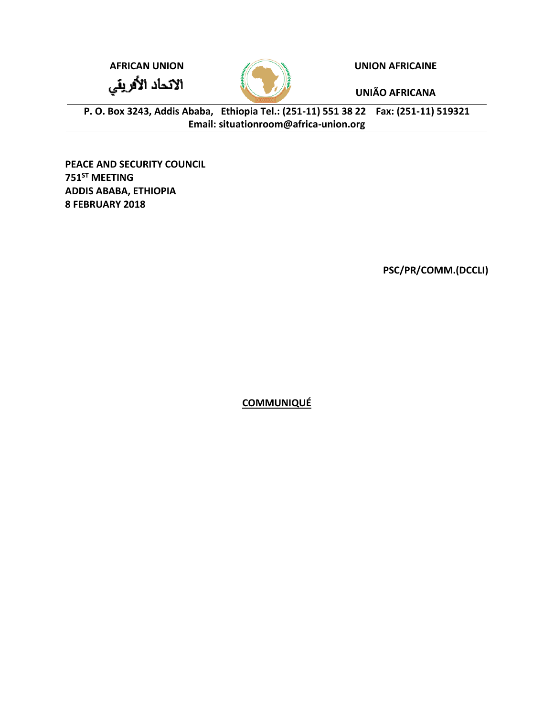**AFRICAN UNION UNION AFRICAINE**

الاتحاد الأفريقي



**UNIÃO AFRICANA**

**P. O. Box 3243, Addis Ababa, Ethiopia Tel.: (251-11) 551 38 22 Fax: (251-11) 519321 Email: [situationroom@africa-union.org](mailto:situationroom@africa-union.org)**

**PEACE AND SECURITY COUNCIL 751ST MEETING ADDIS ABABA, ETHIOPIA 8 FEBRUARY 2018**

**PSC/PR/COMM.(DCCLI)**

**COMMUNIQUÉ**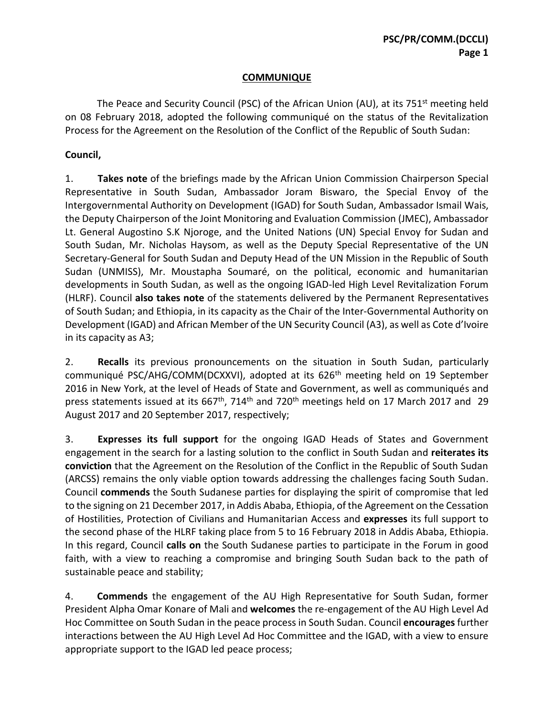## **COMMUNIQUE**

The Peace and Security Council (PSC) of the African Union (AU), at its 751<sup>st</sup> meeting held on 08 February 2018, adopted the following communiqué on the status of the Revitalization Process for the Agreement on the Resolution of the Conflict of the Republic of South Sudan:

## **Council,**

1. **Takes note** of the briefings made by the African Union Commission Chairperson Special Representative in South Sudan, Ambassador Joram Biswaro, the Special Envoy of the Intergovernmental Authority on Development (IGAD) for South Sudan, Ambassador Ismail Wais, the Deputy Chairperson of the Joint Monitoring and Evaluation Commission (JMEC), Ambassador Lt. General Augostino S.K Njoroge, and the United Nations (UN) Special Envoy for Sudan and South Sudan, Mr. Nicholas Haysom, as well as the Deputy Special Representative of the UN Secretary-General for South Sudan and Deputy Head of the UN Mission in the Republic of South Sudan (UNMISS), Mr. Moustapha Soumaré, on the political, economic and humanitarian developments in South Sudan, as well as the ongoing IGAD-led High Level Revitalization Forum (HLRF). Council **also takes note** of the statements delivered by the Permanent Representatives of South Sudan; and Ethiopia, in its capacity as the Chair of the Inter-Governmental Authority on Development (IGAD) and African Member of the UN Security Council (A3), as well as Cote d'Ivoire in its capacity as A3;

2. **Recalls** its previous pronouncements on the situation in South Sudan, particularly communiqué PSC/AHG/COMM(DCXXVI), adopted at its 626<sup>th</sup> meeting held on 19 September 2016 in New York, at the level of Heads of State and Government, as well as communiqués and press statements issued at its 667<sup>th</sup>, 714<sup>th</sup> and 720<sup>th</sup> meetings held on 17 March 2017 and 29 August 2017 and 20 September 2017, respectively;

3. **Expresses its full support** for the ongoing IGAD Heads of States and Government engagement in the search for a lasting solution to the conflict in South Sudan and **reiterates its conviction** that the Agreement on the Resolution of the Conflict in the Republic of South Sudan (ARCSS) remains the only viable option towards addressing the challenges facing South Sudan. Council **commends** the South Sudanese parties for displaying the spirit of compromise that led to the signing on 21 December 2017, in Addis Ababa, Ethiopia, of the Agreement on the Cessation of Hostilities, Protection of Civilians and Humanitarian Access and **expresses** its full support to the second phase of the HLRF taking place from 5 to 16 February 2018 in Addis Ababa, Ethiopia. In this regard, Council **calls on** the South Sudanese parties to participate in the Forum in good faith, with a view to reaching a compromise and bringing South Sudan back to the path of sustainable peace and stability;

4. **Commends** the engagement of the AU High Representative for South Sudan, former President Alpha Omar Konare of Mali and **welcomes** the re-engagement of the AU High Level Ad Hoc Committee on South Sudan in the peace process in South Sudan. Council **encourages** further interactions between the AU High Level Ad Hoc Committee and the IGAD, with a view to ensure appropriate support to the IGAD led peace process;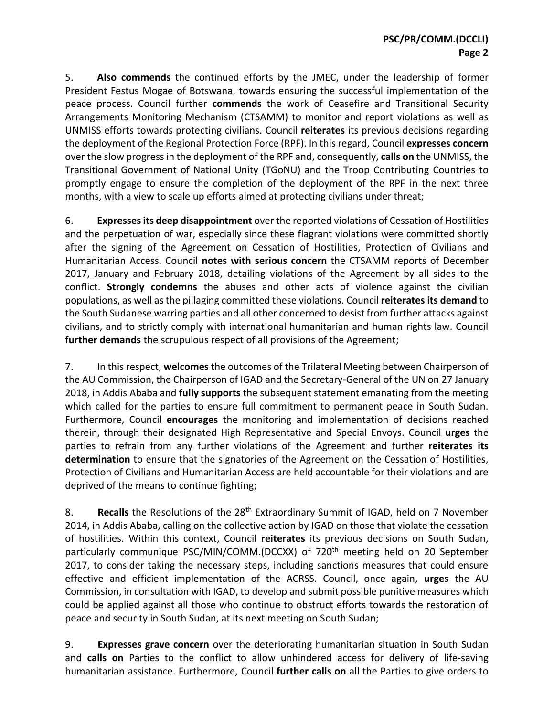5. **Also commends** the continued efforts by the JMEC, under the leadership of former President Festus Mogae of Botswana, towards ensuring the successful implementation of the peace process. Council further **commends** the work of Ceasefire and Transitional Security Arrangements Monitoring Mechanism (CTSAMM) to monitor and report violations as well as UNMISS efforts towards protecting civilians. Council **reiterates** its previous decisions regarding the deployment of the Regional Protection Force (RPF). In this regard, Council **expresses concern** over the slow progress in the deployment of the RPF and, consequently, **calls on** the UNMISS, the Transitional Government of National Unity (TGoNU) and the Troop Contributing Countries to promptly engage to ensure the completion of the deployment of the RPF in the next three months, with a view to scale up efforts aimed at protecting civilians under threat;

6. **Expressesits deep disappointment** over the reported violations of Cessation of Hostilities and the perpetuation of war, especially since these flagrant violations were committed shortly after the signing of the Agreement on Cessation of Hostilities, Protection of Civilians and Humanitarian Access. Council **notes with serious concern** the CTSAMM reports of December 2017, January and February 2018, detailing violations of the Agreement by all sides to the conflict. **Strongly condemns** the abuses and other acts of violence against the civilian populations, as well as the pillaging committed these violations. Council **reiterates its demand** to the South Sudanese warring parties and all other concerned to desist from further attacks against civilians, and to strictly comply with international humanitarian and human rights law. Council **further demands** the scrupulous respect of all provisions of the Agreement;

7. In this respect, **welcomes** the outcomes of the Trilateral Meeting between Chairperson of the AU Commission, the Chairperson of IGAD and the Secretary-General of the UN on 27 January 2018, in Addis Ababa and **fully supports** the subsequent statement emanating from the meeting which called for the parties to ensure full commitment to permanent peace in South Sudan. Furthermore, Council **encourages** the monitoring and implementation of decisions reached therein, through their designated High Representative and Special Envoys. Council **urges** the parties to refrain from any further violations of the Agreement and further **reiterates its determination** to ensure that the signatories of the Agreement on the Cessation of Hostilities, Protection of Civilians and Humanitarian Access are held accountable for their violations and are deprived of the means to continue fighting;

8. **Recalls** the Resolutions of the 28<sup>th</sup> Extraordinary Summit of IGAD, held on 7 November 2014, in Addis Ababa, calling on the collective action by IGAD on those that violate the cessation of hostilities. Within this context, Council **reiterates** its previous decisions on South Sudan, particularly communique PSC/MIN/COMM.(DCCXX) of 720<sup>th</sup> meeting held on 20 September 2017, to consider taking the necessary steps, including sanctions measures that could ensure effective and efficient implementation of the ACRSS. Council, once again, **urges** the AU Commission, in consultation with IGAD, to develop and submit possible punitive measures which could be applied against all those who continue to obstruct efforts towards the restoration of peace and security in South Sudan, at its next meeting on South Sudan;

9. **Expresses grave concern** over the deteriorating humanitarian situation in South Sudan and **calls on** Parties to the conflict to allow unhindered access for delivery of life-saving humanitarian assistance. Furthermore, Council **further calls on** all the Parties to give orders to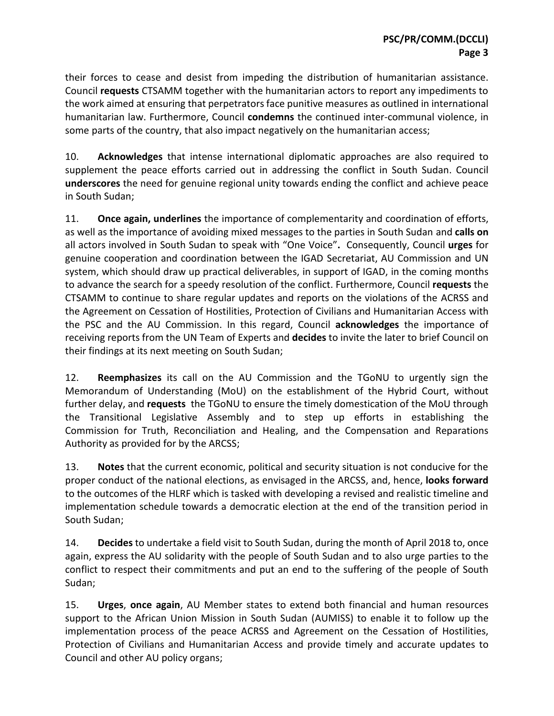their forces to cease and desist from impeding the distribution of humanitarian assistance. Council **requests** CTSAMM together with the humanitarian actors to report any impediments to the work aimed at ensuring that perpetrators face punitive measures as outlined in international humanitarian law. Furthermore, Council **condemns** the continued inter-communal violence, in some parts of the country, that also impact negatively on the humanitarian access;

10. **Acknowledges** that intense international diplomatic approaches are also required to supplement the peace efforts carried out in addressing the conflict in South Sudan. Council **underscores** the need for genuine regional unity towards ending the conflict and achieve peace in South Sudan;

11. **Once again, underlines** the importance of complementarity and coordination of efforts, as well as the importance of avoiding mixed messages to the parties in South Sudan and **calls on** all actors involved in South Sudan to speak with "One Voice"**.** Consequently, Council **urges** for genuine cooperation and coordination between the IGAD Secretariat, AU Commission and UN system, which should draw up practical deliverables, in support of IGAD, in the coming months to advance the search for a speedy resolution of the conflict. Furthermore, Council **requests** the CTSAMM to continue to share regular updates and reports on the violations of the ACRSS and the Agreement on Cessation of Hostilities, Protection of Civilians and Humanitarian Access with the PSC and the AU Commission. In this regard, Council **acknowledges** the importance of receiving reports from the UN Team of Experts and **decides** to invite the later to brief Council on their findings at its next meeting on South Sudan;

12. **Reemphasizes** its call on the AU Commission and the TGoNU to urgently sign the Memorandum of Understanding (MoU) on the establishment of the Hybrid Court, without further delay, and **requests** the TGoNU to ensure the timely domestication of the MoU through the Transitional Legislative Assembly and to step up efforts in establishing the Commission for Truth, Reconciliation and Healing, and the Compensation and Reparations Authority as provided for by the ARCSS;

13. **Notes** that the current economic, political and security situation is not conducive for the proper conduct of the national elections, as envisaged in the ARCSS, and, hence, **looks forward** to the outcomes of the HLRF which is tasked with developing a revised and realistic timeline and implementation schedule towards a democratic election at the end of the transition period in South Sudan;

14. **Decides** to undertake a field visit to South Sudan, during the month of April 2018 to, once again, express the AU solidarity with the people of South Sudan and to also urge parties to the conflict to respect their commitments and put an end to the suffering of the people of South Sudan;

15. **Urges**, **once again**, AU Member states to extend both financial and human resources support to the African Union Mission in South Sudan (AUMISS) to enable it to follow up the implementation process of the peace ACRSS and Agreement on the Cessation of Hostilities, Protection of Civilians and Humanitarian Access and provide timely and accurate updates to Council and other AU policy organs;